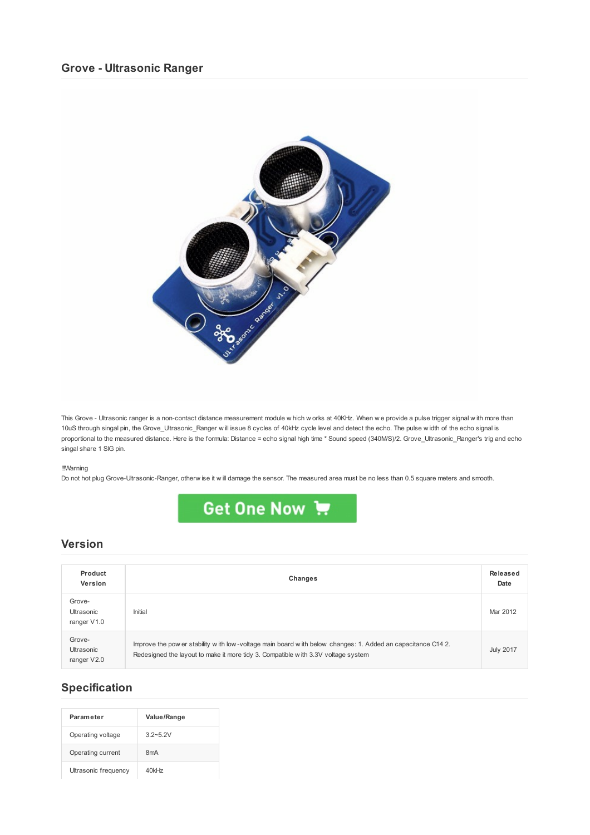## **Grove - Ultrasonic Ranger**



This Grove - Ultrasonic ranger is a non-contact distance measurement module w hich w orks at 40KHz. When w e provide a pulse trigger signal w ith more than 10uS through singal pin, the Grove\_Ultrasonic\_Ranger w ill issue 8 cycles of 40kHz cycle level and detect the echo. The pulse w idth of the echo signal is proportional to the measured distance. Here is the formula: Distance = echo signal high time \* Sound speed (340M/S)/2. Grove\_Ultrasonic\_Ranger's trig and echo singal share 1 SIG pin.

#### !!!Warning

Do not hot plug Grove-Ultrasonic-Ranger, otherw ise it w ill damage the sensor. The measured area must be no less than 0.5 square meters and smooth.



### **Version**

| Product<br>Version                  | Changes                                                                                                                                                                                          | Released<br>Date |
|-------------------------------------|--------------------------------------------------------------------------------------------------------------------------------------------------------------------------------------------------|------------------|
| Grove-<br>Ultrasonic<br>ranger V1.0 | Initial                                                                                                                                                                                          | Mar 2012         |
| Grove-<br>Ultrasonic<br>ranger V2.0 | Improve the pow er stability with low-voltage main board with below changes: 1. Added an capacitance C14 2.<br>Redesigned the layout to make it more tidy 3. Compatible with 3.3V voltage system | <b>July 2017</b> |

# **Specification**

| Parameter            | Value/Range      |
|----------------------|------------------|
| Operating voltage    | $32 - 52V$       |
| Operating current    | 8 <sub>m</sub> A |
| Ultrasonic frequency | 40kHz            |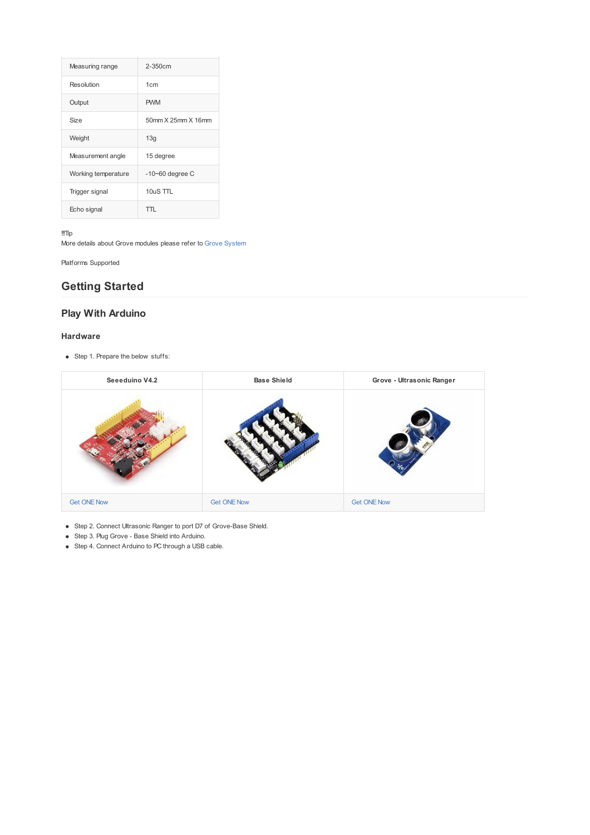| Measuring range     | $2 - 350$ cm       |  |
|---------------------|--------------------|--|
| Resolution          | 1cm                |  |
| Output              | <b>PWM</b>         |  |
| Size                | 50mm X 25mm X 16mm |  |
| Weight              | 13q                |  |
| Measurement angle   | 15 degree          |  |
| Working temperature | $-10-60$ degree C  |  |
| Trigger signal      | $10uS$ TTL         |  |
| Echo signal         | $\blacksquare$     |  |

!!!Tip

More details about Grove modules please refer to Grove [System](http://wiki.seeed.cc/Grove_System/)

Platforms Supported

# **Getting Started**

# **Play With Arduino**

#### **Hardware**

• Step 1. Prepare the below stuffs:

| Seeeduino V4.2     | <b>Base Shield</b> | Grove - Ultrasonic Ranger |
|--------------------|--------------------|---------------------------|
|                    |                    |                           |
| <b>Get ONE Now</b> | <b>Get ONE Now</b> | <b>Get ONE Now</b>        |

- Step 2. Connect Ultrasonic Ranger to port D7 of Grove-Base Shield.
- Step 3. Plug Grove Base Shield into Arduino.
- Step 4. Connect Arduino to PC through a USB cable.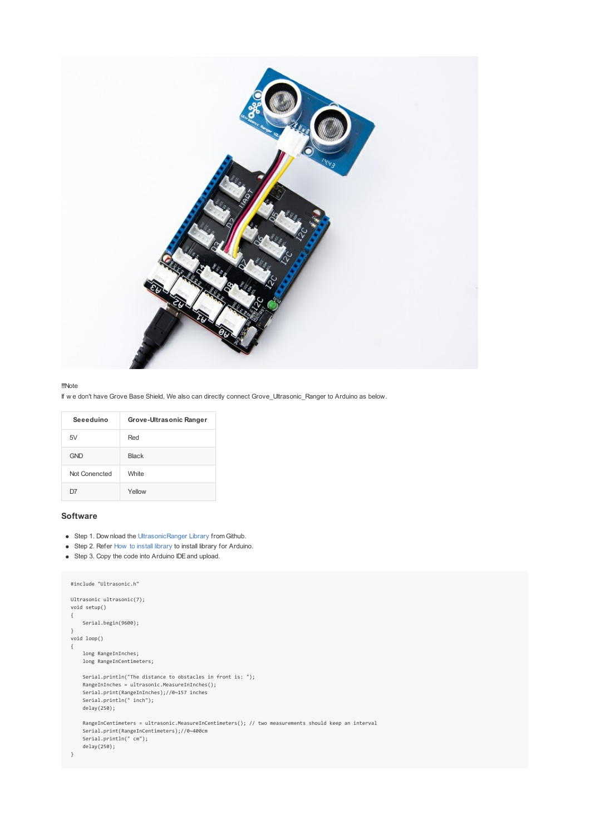

#### !!!Note

If w e don't have Grove Base Shield, We also can directly connect Grove\_Ultrasonic\_Ranger to Arduino as below.

| Seeeduino     | Grove-Ultrasonic Ranger |
|---------------|-------------------------|
| 5V            | Red                     |
| <b>GND</b>    | <b>Black</b>            |
| Not Conencted | <b>White</b>            |
| $\mathbf{D}$  | Yellow                  |

### **Software**

- Step 1. Dow nload the Ultrasonic Ranger Library from Github.
- Step 2. Refer How to install [library](http://wiki.seeed.cc/How_to_install_Arduino_Library) to install library for Arduino.
- Step 3. Copy the code into Arduino IDE and upload.

```
#include "Ultrasonic.h"
Ultrasonic ultrasonic(7);
void setup()
{
    Serial.begin(9600);
 }
void loop()
{
     long RangeInInches;
    long RangeInCentimeters;
      Serial.println("The distance to obstacles in front is: ");
RangeInInches = ultrasonic.MeasureInInches();
      Serial.print(RangeInInches);//0~157 inches
Serial.println(" inch");
    delay(250);
    RangeInCentimeters = ultrasonic.MeasureInCentimeters(); // two measurements should keep an interval
      Serial.print(RangeInCentimeters);//0~400cm
Serial.println(" cm");
    delay(250);
}
```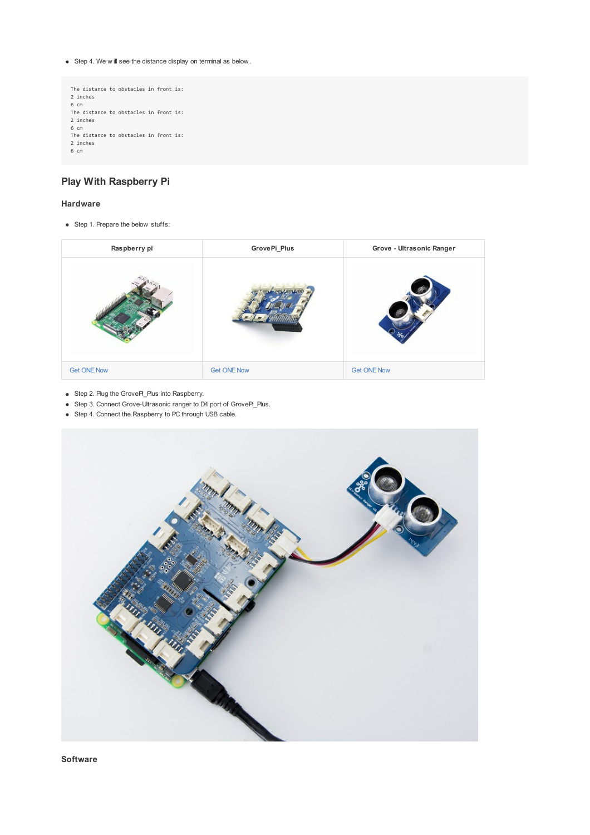Step 4. We w ill see the distance display on terminal as below.

```
The distance to obstacles in front is:
 2 inches
6 cm
The distance to obstacles in front is:
2 inches
6 cm
 The distance to obstacles in front is:
2 inches
6 cm
```
## **Play With Raspberry Pi**

### **Hardware**

• Step 1. Prepare the below stuffs:

| Raspberry pi       | GrovePi_Plus       | Grove - Ultrasonic Ranger |
|--------------------|--------------------|---------------------------|
|                    |                    |                           |
| <b>Get ONE Now</b> | <b>Get ONE Now</b> | <b>Get ONE Now</b>        |

- Step 2. Plug the GrovePi\_Plus into Raspberry.
- Step 3. Connect Grove-Ultrasonic ranger to D4 port of GrovePi\_Plus.
- Step 4. Connect the Raspberry to PC through USB cable.